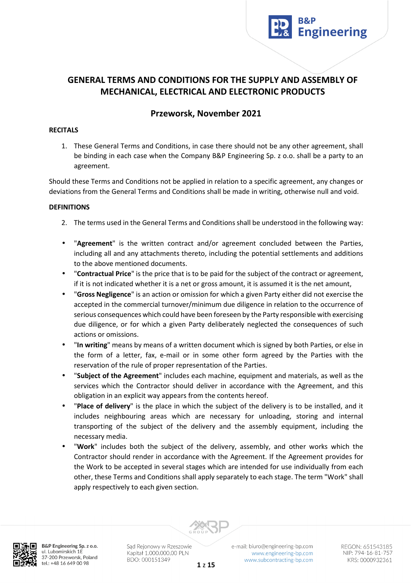

# **GENERAL TERMS AND CONDITIONS FOR THE SUPPLY AND ASSEMBLY OF MECHANICAL, ELECTRICAL AND ELECTRONIC PRODUCTS**

# **Przeworsk, November 2021**

### **RECITALS**

1. These General Terms and Conditions, in case there should not be any other agreement, shall be binding in each case when the Company B&P Engineering Sp. z o.o. shall be a party to an agreement.

Should these Terms and Conditions not be applied in relation to a specific agreement, any changes or deviations from the General Terms and Conditions shall be made in writing, otherwise null and void.

### **DEFINITIONS**

- 2. The terms used in the General Terms and Conditions shall be understood in the following way:
- "**Agreement**" is the written contract and/or agreement concluded between the Parties, including all and any attachments thereto, including the potential settlements and additions to the above mentioned documents.
- "**Contractual Price**" is the price that is to be paid for the subject of the contract or agreement, if it is not indicated whether it is a net or gross amount, it is assumed it is the net amount,
- "**Gross Negligence**" is an action or omission for which a given Party either did not exercise the accepted in the commercial turnover/minimum due diligence in relation to the occurrence of serious consequences which could have been foreseen by the Party responsible with exercising due diligence, or for which a given Party deliberately neglected the consequences of such actions or omissions.
- "**In writing**" means by means of a written document which is signed by both Parties, or else in the form of a letter, fax, e-mail or in some other form agreed by the Parties with the reservation of the rule of proper representation of the Parties.
- "**Subject of the Agreement**" includes each machine, equipment and materials, as well as the services which the Contractor should deliver in accordance with the Agreement, and this obligation in an explicit way appears from the contents hereof.
- "**Place of delivery**" is the place in which the subject of the delivery is to be installed, and it includes neighbouring areas which are necessary for unloading, storing and internal transporting of the subject of the delivery and the assembly equipment, including the necessary media.
- "**Work**" includes both the subject of the delivery, assembly, and other works which the Contractor should render in accordance with the Agreement. If the Agreement provides for the Work to be accepted in several stages which are intended for use individually from each other, these Terms and Conditions shall apply separately to each stage. The term "Work" shall apply respectively to each given section.



B&P Engineering Sp. z o.o. ul. Lubomirskich 1E 37-200 Przeworsk, Poland tel.: +48 16 649 00 98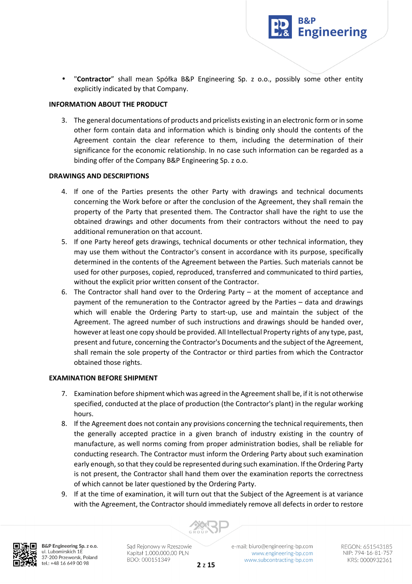• "**Contractor**" shall mean Spółka B&P Engineering Sp. z o.o., possibly some other entity explicitly indicated by that Company.

**Engineering** 

### **INFORMATION ABOUT THE PRODUCT**

3. The general documentations of products and pricelists existing in an electronic form or in some other form contain data and information which is binding only should the contents of the Agreement contain the clear reference to them, including the determination of their significance for the economic relationship. In no case such information can be regarded as a binding offer of the Company B&P Engineering Sp. z o.o.

### **DRAWINGS AND DESCRIPTIONS**

- 4. If one of the Parties presents the other Party with drawings and technical documents concerning the Work before or after the conclusion of the Agreement, they shall remain the property of the Party that presented them. The Contractor shall have the right to use the obtained drawings and other documents from their contractors without the need to pay additional remuneration on that account.
- 5. If one Party hereof gets drawings, technical documents or other technical information, they may use them without the Contractor's consent in accordance with its purpose, specifically determined in the contents of the Agreement between the Parties. Such materials cannot be used for other purposes, copied, reproduced, transferred and communicated to third parties, without the explicit prior written consent of the Contractor.
- 6. The Contractor shall hand over to the Ordering Party at the moment of acceptance and payment of the remuneration to the Contractor agreed by the Parties – data and drawings which will enable the Ordering Party to start-up, use and maintain the subject of the Agreement. The agreed number of such instructions and drawings should be handed over, however at least one copy should be provided. All Intellectual Property rights of any type, past, present and future, concerning the Contractor's Documents and the subject of the Agreement, shall remain the sole property of the Contractor or third parties from which the Contractor obtained those rights.

### **EXAMINATION BEFORE SHIPMENT**

- 7. Examination before shipment which was agreed in the Agreement shall be, if it is not otherwise specified, conducted at the place of production (the Contractor's plant) in the regular working hours.
- 8. If the Agreement does not contain any provisions concerning the technical requirements, then the generally accepted practice in a given branch of industry existing in the country of manufacture, as well norms coming from proper administration bodies, shall be reliable for conducting research. The Contractor must inform the Ordering Party about such examination early enough, so that they could be represented during such examination. If the Ordering Party is not present, the Contractor shall hand them over the examination reports the correctness of which cannot be later questioned by the Ordering Party.
- 9. If at the time of examination, it will turn out that the Subject of the Agreement is at variance with the Agreement, the Contractor should immediately remove all defects in order to restore



B&P Engineering Sp. z o.o. ul. Lubomirskich 1E 37-200 Przeworsk, Poland tel.: +48 16 649 00 98

Sąd Rejonowy w Rzeszowie Kapitał 1.000.000,00 PLN BDO: 000151349

e-mail: biuro@engineering-bp.com www.engineering-bp.com www.subcontracting-bp.com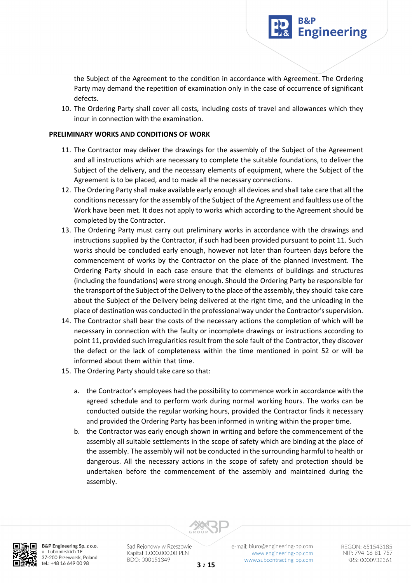the Subject of the Agreement to the condition in accordance with Agreement. The Ordering Party may demand the repetition of examination only in the case of occurrence of significant defects.

**Engineering** 

10. The Ordering Party shall cover all costs, including costs of travel and allowances which they incur in connection with the examination.

### **PRELIMINARY WORKS AND CONDITIONS OF WORK**

- 11. The Contractor may deliver the drawings for the assembly of the Subject of the Agreement and all instructions which are necessary to complete the suitable foundations, to deliver the Subject of the delivery, and the necessary elements of equipment, where the Subject of the Agreement is to be placed, and to made all the necessary connections.
- 12. The Ordering Party shall make available early enough all devices and shall take care that all the conditions necessary for the assembly of the Subject of the Agreement and faultless use of the Work have been met. It does not apply to works which according to the Agreement should be completed by the Contractor.
- 13. The Ordering Party must carry out preliminary works in accordance with the drawings and instructions supplied by the Contractor, if such had been provided pursuant to point 11. Such works should be concluded early enough, however not later than fourteen days before the commencement of works by the Contractor on the place of the planned investment. The Ordering Party should in each case ensure that the elements of buildings and structures (including the foundations) were strong enough. Should the Ordering Party be responsible for the transport of the Subject of the Delivery to the place of the assembly, they should take care about the Subject of the Delivery being delivered at the right time, and the unloading in the place of destination was conducted in the professional way under the Contractor's supervision.
- 14. The Contractor shall bear the costs of the necessary actions the completion of which will be necessary in connection with the faulty or incomplete drawings or instructions according to point 11, provided such irregularities result from the sole fault of the Contractor, they discover the defect or the lack of completeness within the time mentioned in point 52 or will be informed about them within that time.
- 15. The Ordering Party should take care so that:
	- a. the Contractor's employees had the possibility to commence work in accordance with the agreed schedule and to perform work during normal working hours. The works can be conducted outside the regular working hours, provided the Contractor finds it necessary and provided the Ordering Party has been informed in writing within the proper time.
	- b. the Contractor was early enough shown in writing and before the commencement of the assembly all suitable settlements in the scope of safety which are binding at the place of the assembly. The assembly will not be conducted in the surrounding harmful to health or dangerous. All the necessary actions in the scope of safety and protection should be undertaken before the commencement of the assembly and maintained during the assembly.



B&P Engineering Sp. z o.o. ul. Lubomirskich 1E 37-200 Przeworsk, Poland tel.: +48 16 649 00 98

Sąd Rejonowy w Rzeszowie Kapitał 1.000.000,00 PLN BDO: 000151349

e-mail: biuro@engineering-bp.com www.engineering-bp.com www.subcontracting-bp.com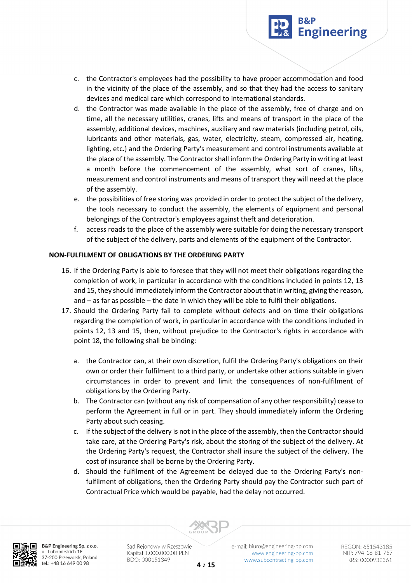

- c. the Contractor's employees had the possibility to have proper accommodation and food in the vicinity of the place of the assembly, and so that they had the access to sanitary devices and medical care which correspond to international standards.
- d. the Contractor was made available in the place of the assembly, free of charge and on time, all the necessary utilities, cranes, lifts and means of transport in the place of the assembly, additional devices, machines, auxiliary and raw materials (including petrol, oils, lubricants and other materials, gas, water, electricity, steam, compressed air, heating, lighting, etc.) and the Ordering Party's measurement and control instruments available at the place of the assembly. The Contractor shall inform the Ordering Party in writing at least a month before the commencement of the assembly, what sort of cranes, lifts, measurement and control instruments and means of transport they will need at the place of the assembly.
- e. the possibilities of free storing was provided in order to protect the subject of the delivery, the tools necessary to conduct the assembly, the elements of equipment and personal belongings of the Contractor's employees against theft and deterioration.
- f. access roads to the place of the assembly were suitable for doing the necessary transport of the subject of the delivery, parts and elements of the equipment of the Contractor.

# **NON-FULFILMENT OF OBLIGATIONS BY THE ORDERING PARTY**

- 16. If the Ordering Party is able to foresee that they will not meet their obligations regarding the completion of work, in particular in accordance with the conditions included in points 12, 13 and 15, they should immediately inform the Contractor about that in writing, giving the reason, and – as far as possible – the date in which they will be able to fulfil their obligations.
- 17. Should the Ordering Party fail to complete without defects and on time their obligations regarding the completion of work, in particular in accordance with the conditions included in points 12, 13 and 15, then, without prejudice to the Contractor's rights in accordance with point 18, the following shall be binding:
	- a. the Contractor can, at their own discretion, fulfil the Ordering Party's obligations on their own or order their fulfilment to a third party, or undertake other actions suitable in given circumstances in order to prevent and limit the consequences of non-fulfilment of obligations by the Ordering Party.
	- b. The Contractor can (without any risk of compensation of any other responsibility) cease to perform the Agreement in full or in part. They should immediately inform the Ordering Party about such ceasing.
	- c. If the subject of the delivery is not in the place of the assembly, then the Contractor should take care, at the Ordering Party's risk, about the storing of the subject of the delivery. At the Ordering Party's request, the Contractor shall insure the subject of the delivery. The cost of insurance shall be borne by the Ordering Party.
	- d. Should the fulfilment of the Agreement be delayed due to the Ordering Party's nonfulfilment of obligations, then the Ordering Party should pay the Contractor such part of Contractual Price which would be payable, had the delay not occurred.



B&P Engineering Sp. z o.o. ul. Lubomirskich 1E 37-200 Przeworsk, Poland tel.: +48 16 649 00 98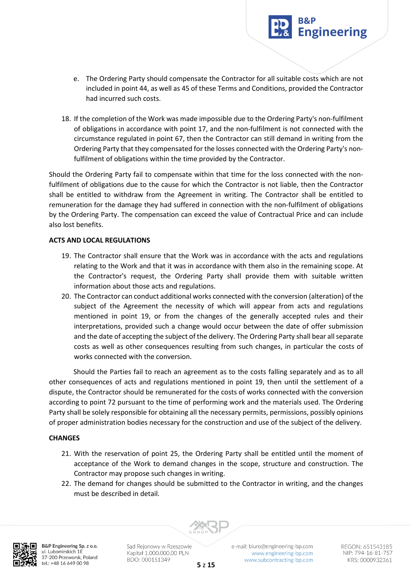e. The Ordering Party should compensate the Contractor for all suitable costs which are not included in point 44, as well as 45 of these Terms and Conditions, provided the Contractor had incurred such costs.

**Engineering** 

18. If the completion of the Work was made impossible due to the Ordering Party's non-fulfilment of obligations in accordance with point 17, and the non-fulfilment is not connected with the circumstance regulated in point 67, then the Contractor can still demand in writing from the Ordering Party that they compensated for the losses connected with the Ordering Party's nonfulfilment of obligations within the time provided by the Contractor.

Should the Ordering Party fail to compensate within that time for the loss connected with the nonfulfilment of obligations due to the cause for which the Contractor is not liable, then the Contractor shall be entitled to withdraw from the Agreement in writing. The Contractor shall be entitled to remuneration for the damage they had suffered in connection with the non-fulfilment of obligations by the Ordering Party. The compensation can exceed the value of Contractual Price and can include also lost benefits.

# **ACTS AND LOCAL REGULATIONS**

- 19. The Contractor shall ensure that the Work was in accordance with the acts and regulations relating to the Work and that it was in accordance with them also in the remaining scope. At the Contractor's request, the Ordering Party shall provide them with suitable written information about those acts and regulations.
- 20. The Contractor can conduct additional works connected with the conversion (alteration) of the subject of the Agreement the necessity of which will appear from acts and regulations mentioned in point 19, or from the changes of the generally accepted rules and their interpretations, provided such a change would occur between the date of offer submission and the date of accepting the subject of the delivery. The Ordering Party shall bear all separate costs as well as other consequences resulting from such changes, in particular the costs of works connected with the conversion.

 Should the Parties fail to reach an agreement as to the costs falling separately and as to all other consequences of acts and regulations mentioned in point 19, then until the settlement of a dispute, the Contractor should be remunerated for the costs of works connected with the conversion according to point 72 pursuant to the time of performing work and the materials used. The Ordering Party shall be solely responsible for obtaining all the necessary permits, permissions, possibly opinions of proper administration bodies necessary for the construction and use of the subject of the delivery.

# **CHANGES**

- 21. With the reservation of point 25, the Ordering Party shall be entitled until the moment of acceptance of the Work to demand changes in the scope, structure and construction. The Contractor may propose such changes in writing.
- 22. The demand for changes should be submitted to the Contractor in writing, and the changes must be described in detail.



B&P Engineering Sp. z o.o. ul. Lubomirskich 1E 37-200 Przeworsk, Poland tel.: +48 16 649 00 98

Sąd Rejonowy w Rzeszowie Kapitał 1.000.000,00 PLN BDO: 000151349

e-mail: biuro@engineering-bp.com www.engineering-bp.com www.subcontracting-bp.com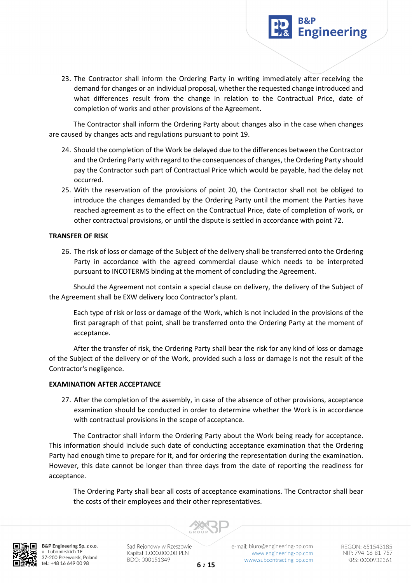

23. The Contractor shall inform the Ordering Party in writing immediately after receiving the demand for changes or an individual proposal, whether the requested change introduced and what differences result from the change in relation to the Contractual Price, date of completion of works and other provisions of the Agreement.

The Contractor shall inform the Ordering Party about changes also in the case when changes are caused by changes acts and regulations pursuant to point 19.

- 24. Should the completion of the Work be delayed due to the differences between the Contractor and the Ordering Party with regard to the consequences of changes, the Ordering Party should pay the Contractor such part of Contractual Price which would be payable, had the delay not occurred.
- 25. With the reservation of the provisions of point 20, the Contractor shall not be obliged to introduce the changes demanded by the Ordering Party until the moment the Parties have reached agreement as to the effect on the Contractual Price, date of completion of work, or other contractual provisions, or until the dispute is settled in accordance with point 72.

### **TRANSFER OF RISK**

26. The risk of loss or damage of the Subject of the delivery shall be transferred onto the Ordering Party in accordance with the agreed commercial clause which needs to be interpreted pursuant to INCOTERMS binding at the moment of concluding the Agreement.

Should the Agreement not contain a special clause on delivery, the delivery of the Subject of the Agreement shall be EXW delivery loco Contractor's plant.

Each type of risk or loss or damage of the Work, which is not included in the provisions of the first paragraph of that point, shall be transferred onto the Ordering Party at the moment of acceptance.

After the transfer of risk, the Ordering Party shall bear the risk for any kind of loss or damage of the Subject of the delivery or of the Work, provided such a loss or damage is not the result of the Contractor's negligence.

### **EXAMINATION AFTER ACCEPTANCE**

27. After the completion of the assembly, in case of the absence of other provisions, acceptance examination should be conducted in order to determine whether the Work is in accordance with contractual provisions in the scope of acceptance.

The Contractor shall inform the Ordering Party about the Work being ready for acceptance. This information should include such date of conducting acceptance examination that the Ordering Party had enough time to prepare for it, and for ordering the representation during the examination. However, this date cannot be longer than three days from the date of reporting the readiness for acceptance.

The Ordering Party shall bear all costs of acceptance examinations. The Contractor shall bear the costs of their employees and their other representatives.



B&P Engineering Sp. z o.o. ul. Lubomirskich 1E 37-200 Przeworsk, Poland tel.: +48 16 649 00 98

Sąd Rejonowy w Rzeszowie Kapitał 1.000.000,00 PLN BDO: 000151349

e-mail: biuro@engineering-bp.com www.engineering-bp.com www.subcontracting-bp.com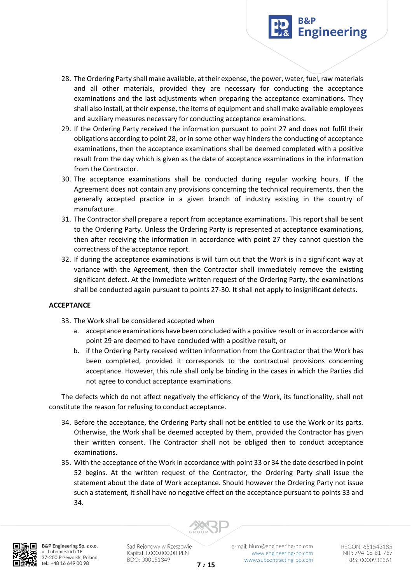

- 28. The Ordering Party shall make available, at their expense, the power, water, fuel, raw materials and all other materials, provided they are necessary for conducting the acceptance examinations and the last adjustments when preparing the acceptance examinations. They shall also install, at their expense, the items of equipment and shall make available employees and auxiliary measures necessary for conducting acceptance examinations.
- 29. If the Ordering Party received the information pursuant to point 27 and does not fulfil their obligations according to point 28, or in some other way hinders the conducting of acceptance examinations, then the acceptance examinations shall be deemed completed with a positive result from the day which is given as the date of acceptance examinations in the information from the Contractor.
- 30. The acceptance examinations shall be conducted during regular working hours. If the Agreement does not contain any provisions concerning the technical requirements, then the generally accepted practice in a given branch of industry existing in the country of manufacture.
- 31. The Contractor shall prepare a report from acceptance examinations. This report shall be sent to the Ordering Party. Unless the Ordering Party is represented at acceptance examinations, then after receiving the information in accordance with point 27 they cannot question the correctness of the acceptance report.
- 32. If during the acceptance examinations is will turn out that the Work is in a significant way at variance with the Agreement, then the Contractor shall immediately remove the existing significant defect. At the immediate written request of the Ordering Party, the examinations shall be conducted again pursuant to points 27-30. It shall not apply to insignificant defects.

# **ACCEPTANCE**

- 33. The Work shall be considered accepted when
	- a. acceptance examinations have been concluded with a positive result or in accordance with point 29 are deemed to have concluded with a positive result, or
	- b. if the Ordering Party received written information from the Contractor that the Work has been completed, provided it corresponds to the contractual provisions concerning acceptance. However, this rule shall only be binding in the cases in which the Parties did not agree to conduct acceptance examinations.

The defects which do not affect negatively the efficiency of the Work, its functionality, shall not constitute the reason for refusing to conduct acceptance.

- 34. Before the acceptance, the Ordering Party shall not be entitled to use the Work or its parts. Otherwise, the Work shall be deemed accepted by them, provided the Contractor has given their written consent. The Contractor shall not be obliged then to conduct acceptance examinations.
- 35. With the acceptance of the Work in accordance with point 33 or 34 the date described in point 52 begins. At the written request of the Contractor, the Ordering Party shall issue the statement about the date of Work acceptance. Should however the Ordering Party not issue such a statement, it shall have no negative effect on the acceptance pursuant to points 33 and 34.



B&P Engineering Sp. z o.o. ul. Lubomirskich 1E 37-200 Przeworsk, Poland tel.: +48 16 649 00 98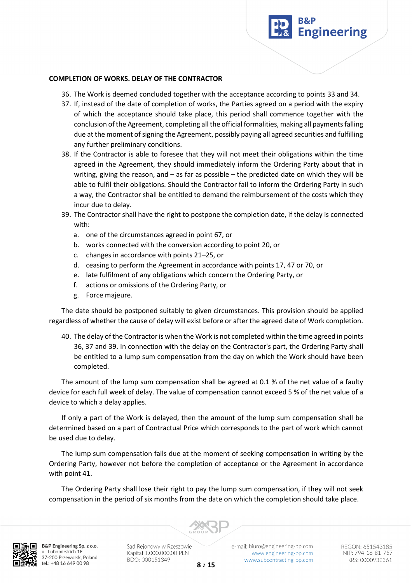

#### **COMPLETION OF WORKS. DELAY OF THE CONTRACTOR**

36. The Work is deemed concluded together with the acceptance according to points 33 and 34.

- 37. If, instead of the date of completion of works, the Parties agreed on a period with the expiry of which the acceptance should take place, this period shall commence together with the conclusion of the Agreement, completing all the official formalities, making all payments falling due at the moment of signing the Agreement, possibly paying all agreed securities and fulfilling any further preliminary conditions.
- 38. If the Contractor is able to foresee that they will not meet their obligations within the time agreed in the Agreement, they should immediately inform the Ordering Party about that in writing, giving the reason, and – as far as possible – the predicted date on which they will be able to fulfil their obligations. Should the Contractor fail to inform the Ordering Party in such a way, the Contractor shall be entitled to demand the reimbursement of the costs which they incur due to delay.
- 39. The Contractor shall have the right to postpone the completion date, if the delay is connected with:
	- a. one of the circumstances agreed in point 67, or
	- b. works connected with the conversion according to point 20, or
	- c. changes in accordance with points 21–25, or
	- d. ceasing to perform the Agreement in accordance with points 17, 47 or 70, or
	- e. late fulfilment of any obligations which concern the Ordering Party, or
	- f. actions or omissions of the Ordering Party, or
	- g. Force majeure.

The date should be postponed suitably to given circumstances. This provision should be applied regardless of whether the cause of delay will exist before or after the agreed date of Work completion.

40. The delay of the Contractor is when the Work is not completed within the time agreed in points 36, 37 and 39. In connection with the delay on the Contractor's part, the Ordering Party shall be entitled to a lump sum compensation from the day on which the Work should have been completed.

The amount of the lump sum compensation shall be agreed at 0.1 % of the net value of a faulty device for each full week of delay. The value of compensation cannot exceed 5 % of the net value of a device to which a delay applies.

If only a part of the Work is delayed, then the amount of the lump sum compensation shall be determined based on a part of Contractual Price which corresponds to the part of work which cannot be used due to delay.

The lump sum compensation falls due at the moment of seeking compensation in writing by the Ordering Party, however not before the completion of acceptance or the Agreement in accordance with point 41.

The Ordering Party shall lose their right to pay the lump sum compensation, if they will not seek compensation in the period of six months from the date on which the completion should take place.



B&P Engineering Sp. z o.o. ul. Lubomirskich 1E 37-200 Przeworsk, Poland tel.: +48 16 649 00 98

Sąd Rejonowy w Rzeszowie Kapitał 1.000.000,00 PLN BDO: 000151349

e-mail: biuro@engineering-bp.com www.engineering-bp.com www.subcontracting-bp.com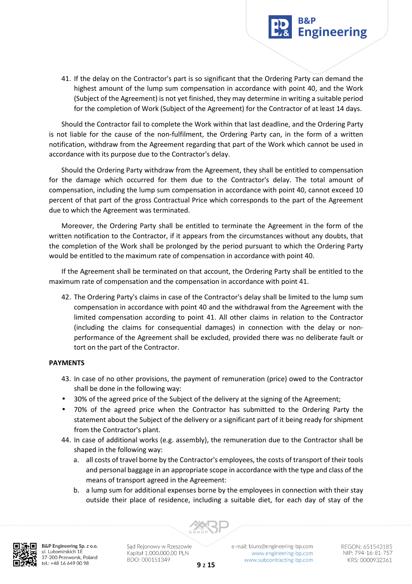

41. If the delay on the Contractor's part is so significant that the Ordering Party can demand the highest amount of the lump sum compensation in accordance with point 40, and the Work (Subject of the Agreement) is not yet finished, they may determine in writing a suitable period for the completion of Work (Subject of the Agreement) for the Contractor of at least 14 days.

Should the Contractor fail to complete the Work within that last deadline, and the Ordering Party is not liable for the cause of the non-fulfilment, the Ordering Party can, in the form of a written notification, withdraw from the Agreement regarding that part of the Work which cannot be used in accordance with its purpose due to the Contractor's delay.

Should the Ordering Party withdraw from the Agreement, they shall be entitled to compensation for the damage which occurred for them due to the Contractor's delay. The total amount of compensation, including the lump sum compensation in accordance with point 40, cannot exceed 10 percent of that part of the gross Contractual Price which corresponds to the part of the Agreement due to which the Agreement was terminated.

Moreover, the Ordering Party shall be entitled to terminate the Agreement in the form of the written notification to the Contractor, if it appears from the circumstances without any doubts, that the completion of the Work shall be prolonged by the period pursuant to which the Ordering Party would be entitled to the maximum rate of compensation in accordance with point 40.

If the Agreement shall be terminated on that account, the Ordering Party shall be entitled to the maximum rate of compensation and the compensation in accordance with point 41.

42. The Ordering Party's claims in case of the Contractor's delay shall be limited to the lump sum compensation in accordance with point 40 and the withdrawal from the Agreement with the limited compensation according to point 41. All other claims in relation to the Contractor (including the claims for consequential damages) in connection with the delay or nonperformance of the Agreement shall be excluded, provided there was no deliberate fault or tort on the part of the Contractor.

# **PAYMENTS**

- 43. In case of no other provisions, the payment of remuneration (price) owed to the Contractor shall be done in the following way:
- 30% of the agreed price of the Subject of the delivery at the signing of the Agreement;
- 70% of the agreed price when the Contractor has submitted to the Ordering Party the statement about the Subject of the delivery or a significant part of it being ready for shipment from the Contractor's plant.
- 44. In case of additional works (e.g. assembly), the remuneration due to the Contractor shall be shaped in the following way:
	- a. all costs of travel borne by the Contractor's employees, the costs of transport of their tools and personal baggage in an appropriate scope in accordance with the type and class of the means of transport agreed in the Agreement:
	- b. a lump sum for additional expenses borne by the employees in connection with their stay outside their place of residence, including a suitable diet, for each day of stay of the



B&P Engineering Sp. z o.o. ul. Lubomirskich 1E 37-200 Przeworsk, Poland tel.: +48 16 649 00 98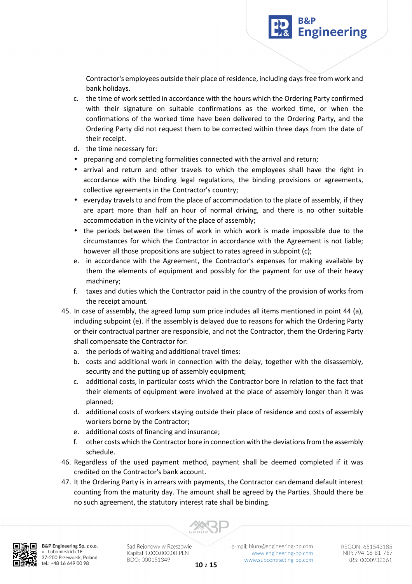

**Engineering** 

- c. the time of work settled in accordance with the hours which the Ordering Party confirmed with their signature on suitable confirmations as the worked time, or when the confirmations of the worked time have been delivered to the Ordering Party, and the Ordering Party did not request them to be corrected within three days from the date of their receipt.
- d. the time necessary for:
- preparing and completing formalities connected with the arrival and return;
- arrival and return and other travels to which the employees shall have the right in accordance with the binding legal regulations, the binding provisions or agreements, collective agreements in the Contractor's country;
- everyday travels to and from the place of accommodation to the place of assembly, if they are apart more than half an hour of normal driving, and there is no other suitable accommodation in the vicinity of the place of assembly;
- the periods between the times of work in which work is made impossible due to the circumstances for which the Contractor in accordance with the Agreement is not liable; however all those propositions are subject to rates agreed in subpoint (c);
- e. in accordance with the Agreement, the Contractor's expenses for making available by them the elements of equipment and possibly for the payment for use of their heavy machinery;
- f. taxes and duties which the Contractor paid in the country of the provision of works from the receipt amount.
- 45. In case of assembly, the agreed lump sum price includes all items mentioned in point 44 (a), including subpoint (e). If the assembly is delayed due to reasons for which the Ordering Party or their contractual partner are responsible, and not the Contractor, them the Ordering Party shall compensate the Contractor for:
	- a. the periods of waiting and additional travel times:
	- b. costs and additional work in connection with the delay, together with the disassembly, security and the putting up of assembly equipment;
	- c. additional costs, in particular costs which the Contractor bore in relation to the fact that their elements of equipment were involved at the place of assembly longer than it was planned;
	- d. additional costs of workers staying outside their place of residence and costs of assembly workers borne by the Contractor;
	- e. additional costs of financing and insurance;
	- f. other costs which the Contractor bore in connection with the deviations from the assembly schedule.
- 46. Regardless of the used payment method, payment shall be deemed completed if it was credited on the Contractor's bank account.
- 47. It the Ordering Party is in arrears with payments, the Contractor can demand default interest counting from the maturity day. The amount shall be agreed by the Parties. Should there be no such agreement, the statutory interest rate shall be binding.



B&P Engineering Sp. z o.o. ul. Lubomirskich 1E 37-200 Przeworsk, Poland tel.: +48 16 649 00 98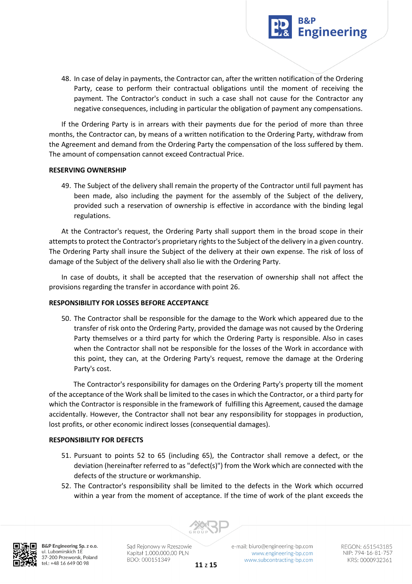

48. In case of delay in payments, the Contractor can, after the written notification of the Ordering Party, cease to perform their contractual obligations until the moment of receiving the payment. The Contractor's conduct in such a case shall not cause for the Contractor any negative consequences, including in particular the obligation of payment any compensations.

If the Ordering Party is in arrears with their payments due for the period of more than three months, the Contractor can, by means of a written notification to the Ordering Party, withdraw from the Agreement and demand from the Ordering Party the compensation of the loss suffered by them. The amount of compensation cannot exceed Contractual Price.

### **RESERVING OWNERSHIP**

49. The Subject of the delivery shall remain the property of the Contractor until full payment has been made, also including the payment for the assembly of the Subject of the delivery, provided such a reservation of ownership is effective in accordance with the binding legal regulations.

At the Contractor's request, the Ordering Party shall support them in the broad scope in their attempts to protect the Contractor's proprietary rights to the Subject of the delivery in a given country. The Ordering Party shall insure the Subject of the delivery at their own expense. The risk of loss of damage of the Subject of the delivery shall also lie with the Ordering Party.

In case of doubts, it shall be accepted that the reservation of ownership shall not affect the provisions regarding the transfer in accordance with point 26.

### **RESPONSIBILITY FOR LOSSES BEFORE ACCEPTANCE**

50. The Contractor shall be responsible for the damage to the Work which appeared due to the transfer of risk onto the Ordering Party, provided the damage was not caused by the Ordering Party themselves or a third party for which the Ordering Party is responsible. Also in cases when the Contractor shall not be responsible for the losses of the Work in accordance with this point, they can, at the Ordering Party's request, remove the damage at the Ordering Party's cost.

The Contractor's responsibility for damages on the Ordering Party's property till the moment of the acceptance of the Work shall be limited to the cases in which the Contractor, or a third party for which the Contractor is responsible in the framework of fulfilling this Agreement, caused the damage accidentally. However, the Contractor shall not bear any responsibility for stoppages in production, lost profits, or other economic indirect losses (consequential damages).

### **RESPONSIBILITY FOR DEFECTS**

- 51. Pursuant to points 52 to 65 (including 65), the Contractor shall remove a defect, or the deviation (hereinafter referred to as "defect(s)") from the Work which are connected with the defects of the structure or workmanship.
- 52. The Contractor's responsibility shall be limited to the defects in the Work which occurred within a year from the moment of acceptance. If the time of work of the plant exceeds the



B&P Engineering Sp. z o.o. ul. Lubomirskich 1E 37-200 Przeworsk, Poland tel.: +48 16 649 00 98

Sąd Rejonowy w Rzeszowie Kapitał 1.000.000,00 PLN BDO: 000151349

e-mail: biuro@engineering-bp.com www.engineering-bp.com www.subcontracting-bp.com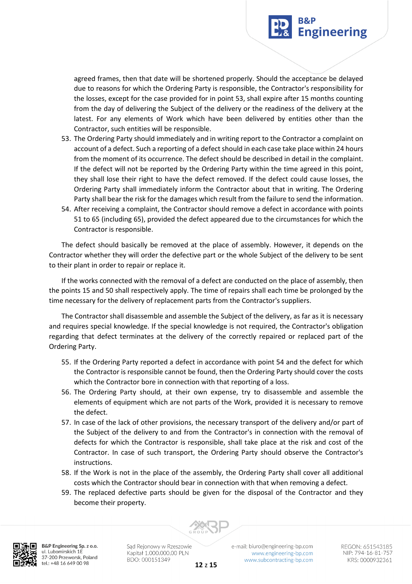

agreed frames, then that date will be shortened properly. Should the acceptance be delayed due to reasons for which the Ordering Party is responsible, the Contractor's responsibility for the losses, except for the case provided for in point 53, shall expire after 15 months counting from the day of delivering the Subject of the delivery or the readiness of the delivery at the latest. For any elements of Work which have been delivered by entities other than the Contractor, such entities will be responsible.

- 53. The Ordering Party should immediately and in writing report to the Contractor a complaint on account of a defect. Such a reporting of a defect should in each case take place within 24 hours from the moment of its occurrence. The defect should be described in detail in the complaint. If the defect will not be reported by the Ordering Party within the time agreed in this point, they shall lose their right to have the defect removed. If the defect could cause losses, the Ordering Party shall immediately inform the Contractor about that in writing. The Ordering Party shall bear the risk for the damages which result from the failure to send the information.
- 54. After receiving a complaint, the Contractor should remove a defect in accordance with points 51 to 65 (including 65), provided the defect appeared due to the circumstances for which the Contractor is responsible.

The defect should basically be removed at the place of assembly. However, it depends on the Contractor whether they will order the defective part or the whole Subject of the delivery to be sent to their plant in order to repair or replace it.

If the works connected with the removal of a defect are conducted on the place of assembly, then the points 15 and 50 shall respectively apply. The time of repairs shall each time be prolonged by the time necessary for the delivery of replacement parts from the Contractor's suppliers.

The Contractor shall disassemble and assemble the Subject of the delivery, as far as it is necessary and requires special knowledge. If the special knowledge is not required, the Contractor's obligation regarding that defect terminates at the delivery of the correctly repaired or replaced part of the Ordering Party.

- 55. If the Ordering Party reported a defect in accordance with point 54 and the defect for which the Contractor is responsible cannot be found, then the Ordering Party should cover the costs which the Contractor bore in connection with that reporting of a loss.
- 56. The Ordering Party should, at their own expense, try to disassemble and assemble the elements of equipment which are not parts of the Work, provided it is necessary to remove the defect.
- 57. In case of the lack of other provisions, the necessary transport of the delivery and/or part of the Subject of the delivery to and from the Contractor's in connection with the removal of defects for which the Contractor is responsible, shall take place at the risk and cost of the Contractor. In case of such transport, the Ordering Party should observe the Contractor's instructions.
- 58. If the Work is not in the place of the assembly, the Ordering Party shall cover all additional costs which the Contractor should bear in connection with that when removing a defect.
- 59. The replaced defective parts should be given for the disposal of the Contractor and they become their property.



B&P Engineering Sp. z o.o. ul. Lubomirskich 1E 37-200 Przeworsk, Poland tel.: +48 16 649 00 98

Sąd Rejonowy w Rzeszowie Kapitał 1.000.000,00 PLN BDO: 000151349

e-mail: biuro@engineering-bp.com www.engineering-bp.com www.subcontracting-bp.com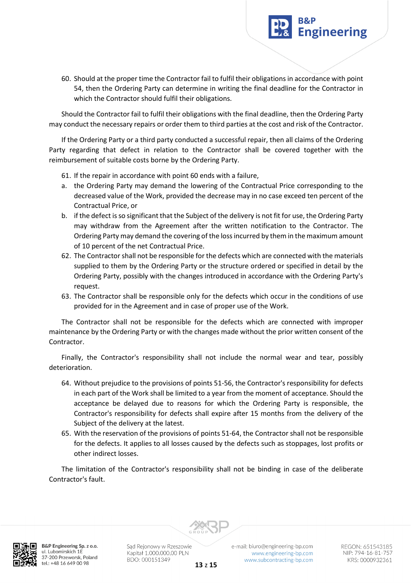60. Should at the proper time the Contractor fail to fulfil their obligations in accordance with point 54, then the Ordering Party can determine in writing the final deadline for the Contractor in which the Contractor should fulfil their obligations.

**Engineering** 

Should the Contractor fail to fulfil their obligations with the final deadline, then the Ordering Party may conduct the necessary repairs or order them to third parties at the cost and risk of the Contractor.

If the Ordering Party or a third party conducted a successful repair, then all claims of the Ordering Party regarding that defect in relation to the Contractor shall be covered together with the reimbursement of suitable costs borne by the Ordering Party.

61. If the repair in accordance with point 60 ends with a failure,

- a. the Ordering Party may demand the lowering of the Contractual Price corresponding to the decreased value of the Work, provided the decrease may in no case exceed ten percent of the Contractual Price, or
- b. if the defect is so significant that the Subject of the delivery is not fit for use, the Ordering Party may withdraw from the Agreement after the written notification to the Contractor. The Ordering Party may demand the covering of the loss incurred by them in the maximum amount of 10 percent of the net Contractual Price.
- 62. The Contractor shall not be responsible for the defects which are connected with the materials supplied to them by the Ordering Party or the structure ordered or specified in detail by the Ordering Party, possibly with the changes introduced in accordance with the Ordering Party's request.
- 63. The Contractor shall be responsible only for the defects which occur in the conditions of use provided for in the Agreement and in case of proper use of the Work.

The Contractor shall not be responsible for the defects which are connected with improper maintenance by the Ordering Party or with the changes made without the prior written consent of the Contractor.

Finally, the Contractor's responsibility shall not include the normal wear and tear, possibly deterioration.

- 64. Without prejudice to the provisions of points 51-56, the Contractor's responsibility for defects in each part of the Work shall be limited to a year from the moment of acceptance. Should the acceptance be delayed due to reasons for which the Ordering Party is responsible, the Contractor's responsibility for defects shall expire after 15 months from the delivery of the Subject of the delivery at the latest.
- 65. With the reservation of the provisions of points 51-64, the Contractor shall not be responsible for the defects. It applies to all losses caused by the defects such as stoppages, lost profits or other indirect losses.

The limitation of the Contractor's responsibility shall not be binding in case of the deliberate Contractor's fault.



B&P Engineering Sp. z o.o. ul. Lubomirskich 1E 37-200 Przeworsk, Poland tel.: +48 16 649 00 98

Sąd Rejonowy w Rzeszowie Kapitał 1.000.000,00 PLN BDO: 000151349



REGON: 651543185 NIP: 794-16-81-757 KRS: 0000932361

**13** z **15**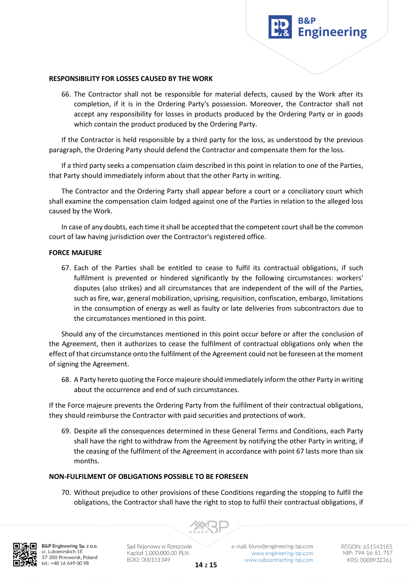

#### **RESPONSIBILITY FOR LOSSES CAUSED BY THE WORK**

66. The Contractor shall not be responsible for material defects, caused by the Work after its completion, if it is in the Ordering Party's possession. Moreover, the Contractor shall not accept any responsibility for losses in products produced by the Ordering Party or in goods which contain the product produced by the Ordering Party.

If the Contractor is held responsible by a third party for the loss, as understood by the previous paragraph, the Ordering Party should defend the Contractor and compensate them for the loss.

If a third party seeks a compensation claim described in this point in relation to one of the Parties, that Party should immediately inform about that the other Party in writing.

The Contractor and the Ordering Party shall appear before a court or a conciliatory court which shall examine the compensation claim lodged against one of the Parties in relation to the alleged loss caused by the Work.

In case of any doubts, each time it shall be accepted that the competent court shall be the common court of law having jurisdiction over the Contractor's registered office.

#### **FORCE MAJEURE**

67. Each of the Parties shall be entitled to cease to fulfil its contractual obligations, if such fulfilment is prevented or hindered significantly by the following circumstances: workers' disputes (also strikes) and all circumstances that are independent of the will of the Parties, such as fire, war, general mobilization, uprising, requisition, confiscation, embargo, limitations in the consumption of energy as well as faulty or late deliveries from subcontractors due to the circumstances mentioned in this point.

Should any of the circumstances mentioned in this point occur before or after the conclusion of the Agreement, then it authorizes to cease the fulfilment of contractual obligations only when the effect of that circumstance onto the fulfilment of the Agreement could not be foreseen at the moment of signing the Agreement.

68. A Party hereto quoting the Force majeure should immediately inform the other Party in writing about the occurrence and end of such circumstances.

If the Force majeure prevents the Ordering Party from the fulfilment of their contractual obligations, they should reimburse the Contractor with paid securities and protections of work.

69. Despite all the consequences determined in these General Terms and Conditions, each Party shall have the right to withdraw from the Agreement by notifying the other Party in writing, if the ceasing of the fulfilment of the Agreement in accordance with point 67 lasts more than six months.

### **NON-FULFILMENT OF OBLIGATIONS POSSIBLE TO BE FORESEEN**

70. Without prejudice to other provisions of these Conditions regarding the stopping to fulfil the obligations, the Contractor shall have the right to stop to fulfil their contractual obligations, if



B&P Engineering Sp. z o.o. ul. Lubomirskich 1E 37-200 Przeworsk, Poland tel.: +48 16 649 00 98

Sąd Rejonowy w Rzeszowie Kapitał 1.000.000,00 PLN BDO: 000151349

e-mail: biuro@engineering-bp.com www.engineering-bp.com www.subcontracting-bp.com